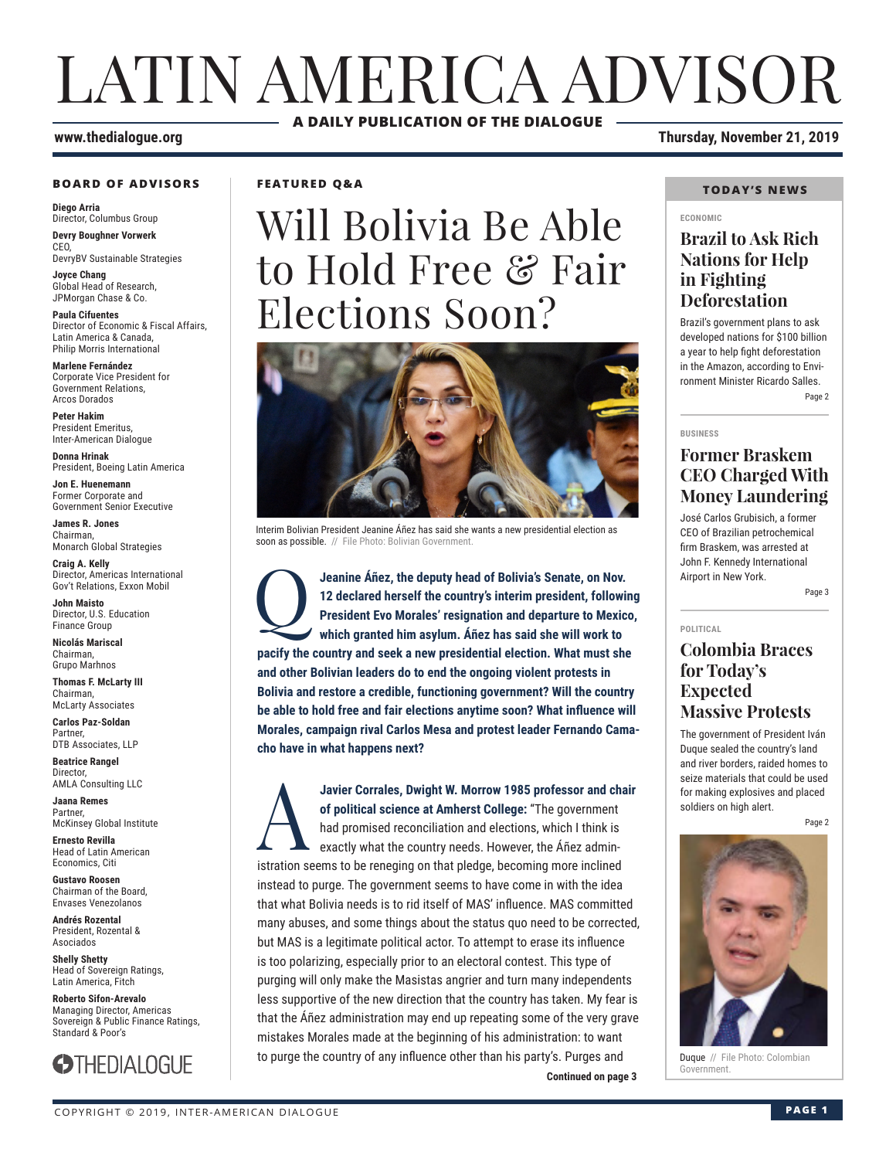## LATIN AMERICA ADVISOR **A DAILY PUBLICATION OF THE DIALOGUE**

#### **BOARD OF ADVISORS**

**Diego Arria** Director, Columbus Group **Devry Boughner Vorwerk** C<sub>EO</sub>

DevryBV Sustainable Strategies

**Joyce Chang** Global Head of Research, JPMorgan Chase & Co.

**Paula Cifuentes** Director of Economic & Fiscal Affairs, Latin America & Canada, Philip Morris International

**Marlene Fernández** Corporate Vice President for Government Relations, Arcos Dorados

**Peter Hakim** President Emeritus, Inter-American Dialogue

**Donna Hrinak** President, Boeing Latin America

**Jon E. Huenemann** Former Corporate and Government Senior Executive

**James R. Jones** Chairman, Monarch Global Strategies

**Craig A. Kelly** Director, Americas International Gov't Relations, Exxon Mobil

**John Maisto** Director, U.S. Education Finance Group

**Nicolás Mariscal** Chairman, Grupo Marhnos

**Thomas F. McLarty III** Chairman, McLarty Associates

**Carlos Paz-Soldan** Partner, DTB Associates, LLP

**Beatrice Rangel**  Director, AMLA Consulting LLC

**Jaana Remes** Partner, McKinsey Global Institute

**Ernesto Revilla**  Head of Latin American Economics, Citi

**Gustavo Roosen** Chairman of the Board, Envases Venezolanos

**Andrés Rozental**  President, Rozental & Asociados

**Shelly Shetty** Head of Sovereign Ratings, Latin America, Fitch

**Roberto Sifon-Arevalo** Managing Director, Americas Sovereign & Public Finance Ratings, Standard & Poor's



**FEATURED Q&A**

# Will Bolivia Be Able to Hold Free & Fair Elections Soon?



Interim Bolivian President Jeanine Áñez has said she wants a new presidential election as soon as possible. // File Photo: Bolivian Government.

Jeanine Áñez, the deputy head of Bolivia's Senate, on Nov.<br>12 declared herself the country's interim president, followin<br>President Evo Morales' resignation and departure to Mexic<br>which granted him asylum. Áñez has said she **12 declared herself the country's interim president, following President Evo Morales' resignation and departure to Mexico, which granted him asylum. Áñez has said she will work to pacify the country and seek a new presidential election. What must she and other Bolivian leaders do to end the ongoing violent protests in Bolivia and restore a credible, functioning government? Will the country be able to hold free and fair elections anytime soon? What influence will Morales, campaign rival Carlos Mesa and protest leader Fernando Camacho have in what happens next?**

**Continued on page 3** Javier Corrales, Dwight W. Morrow 1985 professor and chair<br>of political science at Amherst College: "The government<br>had promised reconciliation and elections, which I think is<br>exactly what the country needs. However, the Á **of political science at Amherst College:** "The government had promised reconciliation and elections, which I think is exactly what the country needs. However, the Áñez administration seems to be reneging on that pledge, becoming more inclined instead to purge. The government seems to have come in with the idea that what Bolivia needs is to rid itself of MAS' influence. MAS committed many abuses, and some things about the status quo need to be corrected, but MAS is a legitimate political actor. To attempt to erase its influence is too polarizing, especially prior to an electoral contest. This type of purging will only make the Masistas angrier and turn many independents less supportive of the new direction that the country has taken. My fear is that the Áñez administration may end up repeating some of the very grave mistakes Morales made at the beginning of his administration: to want to purge the country of any influence other than his party's. Purges and

**www.thedialogue.org Thursday, November 21, 2019**

#### **TODAY'S NEWS**

#### **ECONOMIC**

#### **Brazil to Ask Rich Nations for Help in Fighting Deforestation**

Brazil's government plans to ask developed nations for \$100 billion a year to help fight deforestation in the Amazon, according to Environment Minister Ricardo Salles. Page 2

#### **BUSINESS**

### **Former Braskem CEO Charged With Money Laundering**

José Carlos Grubisich, a former CEO of Brazilian petrochemical firm Braskem, was arrested at John F. Kennedy International Airport in New York.

Page 3

#### **POLITICAL**

#### **Colombia Braces for Today's Expected Massive Protests**

The government of President Iván Duque sealed the country's land and river borders, raided homes to seize materials that could be used for making explosives and placed soldiers on high alert.

Page 2



Duque // File Photo: Colombian<br>Government.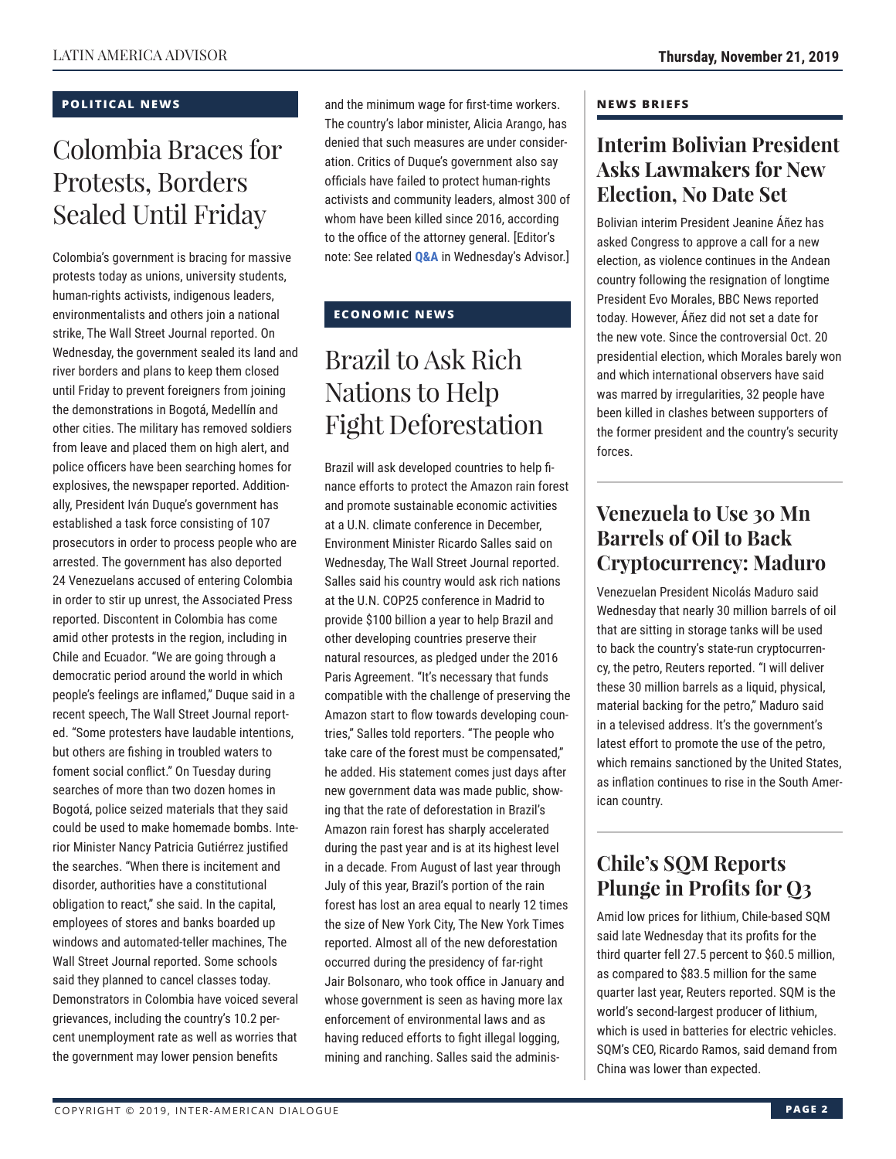#### **POLITICAL NEWS**

### Colombia Braces for Protests, Borders Sealed Until Friday

Colombia's government is bracing for massive protests today as unions, university students, human-rights activists, indigenous leaders, environmentalists and others join a national strike, The Wall Street Journal reported. On Wednesday, the government sealed its land and river borders and plans to keep them closed until Friday to prevent foreigners from joining the demonstrations in Bogotá, Medellín and other cities. The military has removed soldiers from leave and placed them on high alert, and police officers have been searching homes for explosives, the newspaper reported. Additionally, President Iván Duque's government has established a task force consisting of 107 prosecutors in order to process people who are arrested. The government has also deported 24 Venezuelans accused of entering Colombia in order to stir up unrest, the Associated Press reported. Discontent in Colombia has come amid other protests in the region, including in Chile and Ecuador. "We are going through a democratic period around the world in which people's feelings are inflamed," Duque said in a recent speech, The Wall Street Journal reported. "Some protesters have laudable intentions, but others are fishing in troubled waters to foment social conflict." On Tuesday during searches of more than two dozen homes in Bogotá, police seized materials that they said could be used to make homemade bombs. Interior Minister Nancy Patricia Gutiérrez justified the searches. "When there is incitement and disorder, authorities have a constitutional obligation to react," she said. In the capital, employees of stores and banks boarded up windows and automated-teller machines, The Wall Street Journal reported. Some schools said they planned to cancel classes today. Demonstrators in Colombia have voiced several grievances, including the country's 10.2 percent unemployment rate as well as worries that the government may lower pension benefits

and the minimum wage for first-time workers. The country's labor minister, Alicia Arango, has denied that such measures are under consideration. Critics of Duque's government also say officials have failed to protect human-rights activists and community leaders, almost 300 of whom have been killed since 2016, according to the office of the attorney general. [Editor's note: See related **[Q&A](http://www.thedialogue.org/wp-content/uploads/2019/11/LAA191120.pdf)** in Wednesday's Advisor.]

#### **ECONOMIC NEWS**

## Brazil to Ask Rich Nations to Help Fight Deforestation

Brazil will ask developed countries to help finance efforts to protect the Amazon rain forest and promote sustainable economic activities at a U.N. climate conference in December, Environment Minister Ricardo Salles said on Wednesday, The Wall Street Journal reported. Salles said his country would ask rich nations at the U.N. COP25 conference in Madrid to provide \$100 billion a year to help Brazil and other developing countries preserve their natural resources, as pledged under the 2016 Paris Agreement. "It's necessary that funds compatible with the challenge of preserving the Amazon start to flow towards developing countries," Salles told reporters. "The people who take care of the forest must be compensated," he added. His statement comes just days after new government data was made public, showing that the rate of deforestation in Brazil's Amazon rain forest has sharply accelerated during the past year and is at its highest level in a decade. From August of last year through July of this year, Brazil's portion of the rain forest has lost an area equal to nearly 12 times the size of New York City, The New York Times reported. Almost all of the new deforestation occurred during the presidency of far-right Jair Bolsonaro, who took office in January and whose government is seen as having more lax enforcement of environmental laws and as having reduced efforts to fight illegal logging, mining and ranching. Salles said the adminis-

#### **NEWS BRIEFS**

### **Interim Bolivian President Asks Lawmakers for New Election, No Date Set**

Bolivian interim President Jeanine Áñez has asked Congress to approve a call for a new election, as violence continues in the Andean country following the resignation of longtime President Evo Morales, BBC News reported today. However, Áñez did not set a date for the new vote. Since the controversial Oct. 20 presidential election, which Morales barely won and which international observers have said was marred by irregularities, 32 people have been killed in clashes between supporters of the former president and the country's security forces.

### **Venezuela to Use 30 Mn Barrels of Oil to Back Cryptocurrency: Maduro**

Venezuelan President Nicolás Maduro said Wednesday that nearly 30 million barrels of oil that are sitting in storage tanks will be used to back the country's state-run cryptocurrency, the petro, Reuters reported. "I will deliver these 30 million barrels as a liquid, physical, material backing for the petro," Maduro said in a televised address. It's the government's latest effort to promote the use of the petro, which remains sanctioned by the United States, as inflation continues to rise in the South American country.

### **Chile's SQM Reports Plunge in Profits for Q3**

Amid low prices for lithium, Chile-based SQM said late Wednesday that its profits for the third quarter fell 27.5 percent to \$60.5 million, as compared to \$83.5 million for the same quarter last year, Reuters reported. SQM is the world's second-largest producer of lithium, which is used in batteries for electric vehicles. SQM's CEO, Ricardo Ramos, said demand from China was lower than expected.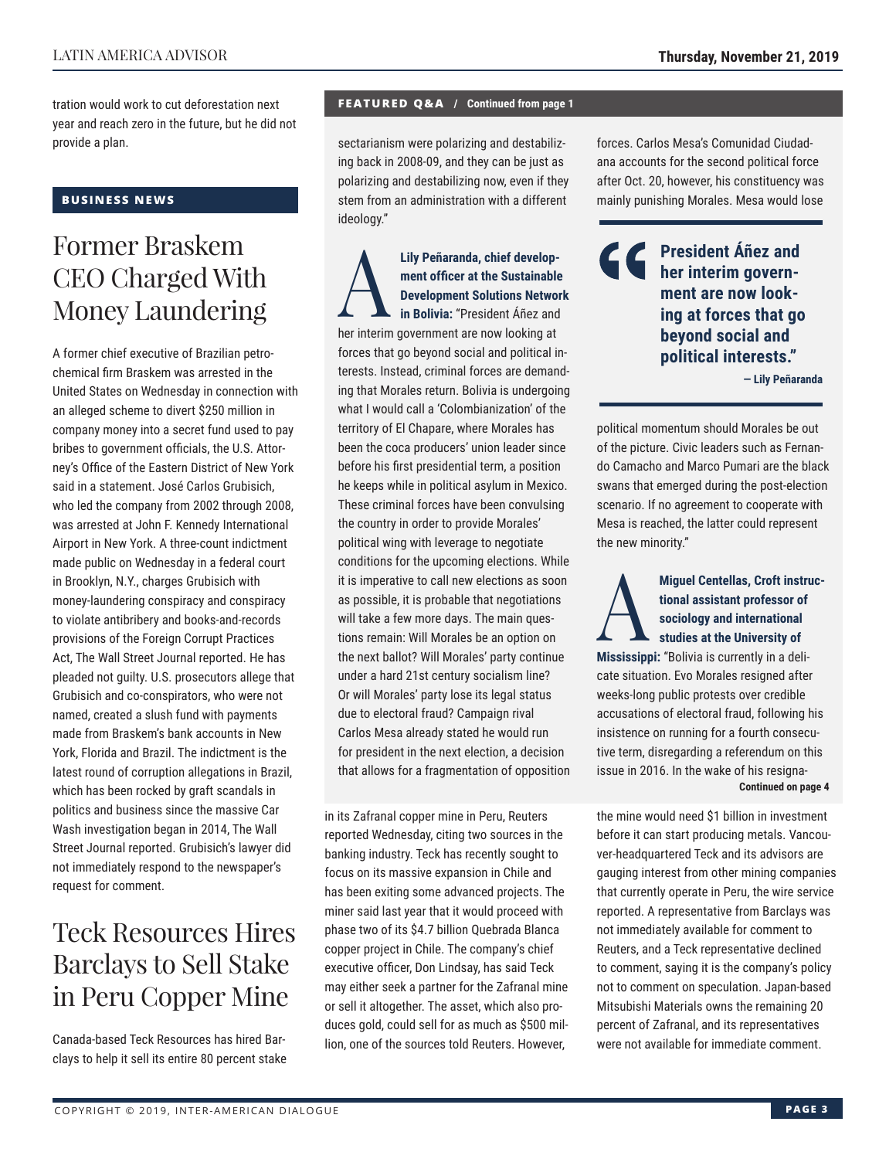tration would work to cut deforestation next year and reach zero in the future, but he did not provide a plan.

#### **BUSINESS NEWS**

### Former Braskem CEO Charged With Money Laundering

A former chief executive of Brazilian petrochemical firm Braskem was arrested in the United States on Wednesday in connection with an alleged scheme to divert \$250 million in company money into a secret fund used to pay bribes to government officials, the U.S. Attorney's Office of the Eastern District of New York said in a statement. José Carlos Grubisich, who led the company from 2002 through 2008, was arrested at John F. Kennedy International Airport in New York. A three-count indictment made public on Wednesday in a federal court in Brooklyn, N.Y., charges Grubisich with money-laundering conspiracy and conspiracy to violate antibribery and books-and-records provisions of the Foreign Corrupt Practices Act, The Wall Street Journal reported. He has pleaded not guilty. U.S. prosecutors allege that Grubisich and co-conspirators, who were not named, created a slush fund with payments made from Braskem's bank accounts in New York, Florida and Brazil. The indictment is the latest round of corruption allegations in Brazil, which has been rocked by graft scandals in politics and business since the massive Car Wash investigation began in 2014, The Wall Street Journal reported. Grubisich's lawyer did not immediately respond to the newspaper's request for comment.

### Teck Resources Hires Barclays to Sell Stake in Peru Copper Mine

Canada-based Teck Resources has hired Barclays to help it sell its entire 80 percent stake

#### **FEATURED Q&A / Continued from page 1**

sectarianism were polarizing and destabilizing back in 2008-09, and they can be just as polarizing and destabilizing now, even if they stem from an administration with a different ideology."

Lily Peñaranda, chief develop-<br>
ment officer at the Sustainable<br>
Development Solutions Network<br>
in Bolivia: "President Añez and<br>
her interim government are now looking at **ment officer at the Sustainable Development Solutions Network in Bolivia:** "President Áñez and her interim government are now looking at forces that go beyond social and political interests. Instead, criminal forces are demanding that Morales return. Bolivia is undergoing what I would call a 'Colombianization' of the territory of El Chapare, where Morales has been the coca producers' union leader since before his first presidential term, a position he keeps while in political asylum in Mexico. These criminal forces have been convulsing the country in order to provide Morales' political wing with leverage to negotiate conditions for the upcoming elections. While it is imperative to call new elections as soon as possible, it is probable that negotiations will take a few more days. The main questions remain: Will Morales be an option on the next ballot? Will Morales' party continue under a hard 21st century socialism line? Or will Morales' party lose its legal status due to electoral fraud? Campaign rival Carlos Mesa already stated he would run for president in the next election, a decision that allows for a fragmentation of opposition

in its Zafranal copper mine in Peru, Reuters reported Wednesday, citing two sources in the banking industry. Teck has recently sought to focus on its massive expansion in Chile and has been exiting some advanced projects. The miner said last year that it would proceed with phase two of its \$4.7 billion Quebrada Blanca copper project in Chile. The company's chief executive officer, Don Lindsay, has said Teck may either seek a partner for the Zafranal mine or sell it altogether. The asset, which also produces gold, could sell for as much as \$500 million, one of the sources told Reuters. However,

forces. Carlos Mesa's Comunidad Ciudadana accounts for the second political force after Oct. 20, however, his constituency was mainly punishing Morales. Mesa would lose

**C** President Áñez and **her interim government are now looking at forces that go beyond social and political interests."**

**— Lily Peñaranda**

political momentum should Morales be out of the picture. Civic leaders such as Fernando Camacho and Marco Pumari are the black swans that emerged during the post-election scenario. If no agreement to cooperate with Mesa is reached, the latter could represent the new minority."

Miguel Centellas, Croft instructional assistant professor of<br>sociology and international<br>studies at the University of **tional assistant professor of sociology and international studies at the University of** 

**Mississippi:** "Bolivia is currently in a delicate situation. Evo Morales resigned after weeks-long public protests over credible accusations of electoral fraud, following his insistence on running for a fourth consecutive term, disregarding a referendum on this issue in 2016. In the wake of his resigna-**Continued on page 4** 

the mine would need \$1 billion in investment before it can start producing metals. Vancouver-headquartered Teck and its advisors are gauging interest from other mining companies that currently operate in Peru, the wire service reported. A representative from Barclays was not immediately available for comment to Reuters, and a Teck representative declined to comment, saying it is the company's policy not to comment on speculation. Japan-based Mitsubishi Materials owns the remaining 20 percent of Zafranal, and its representatives were not available for immediate comment.